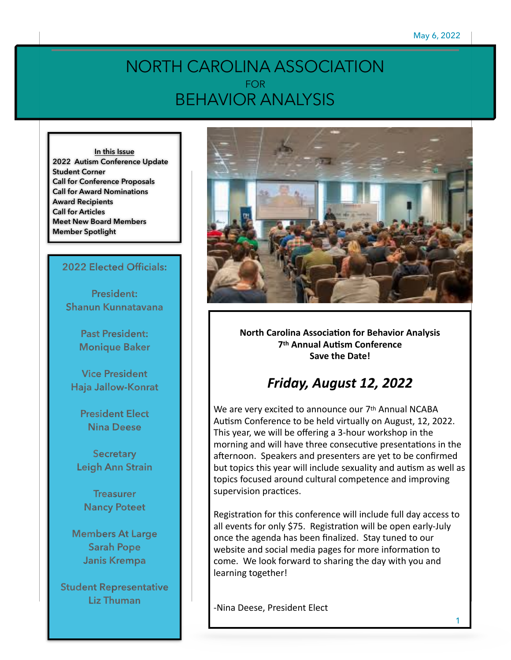## NORTH CAROLINA ASSOCIATION FOR BEHAVIOR ANALYSIS

**In this Issue 2022 Autism Conference Update Student Corner Call for Conference Proposals Call for Award Nominations Award Recipients Call for Articles Meet New Board Members Member Spotlight**

### **2022 Elected Officials:**

**President: Shanun Kunnatavana**

> **Past President: Monique Baker**

**Vice President Haja Jallow-Konrat**

**President Elect Nina Deese**

**Secretary Leigh Ann Strain**

**Treasurer Nancy Poteet**

**Members At Large Sarah Pope Janis Krempa**

**Student Representative Liz Thuman**



**North Carolina Association for Behavior Analysis 7th Annual Autism Conference** Save the Date!

## *Friday, August 12, 2022*

We are very excited to announce our 7<sup>th</sup> Annual NCABA Autism Conference to be held virtually on August, 12, 2022. This year, we will be offering a 3-hour workshop in the morning and will have three consecutive presentations in the afternoon. Speakers and presenters are yet to be confirmed but topics this year will include sexuality and autism as well as topics focused around cultural competence and improving supervision practices.

Registration for this conference will include full day access to all events for only \$75. Registration will be open early-July once the agenda has been finalized. Stay tuned to our website and social media pages for more information to come. We look forward to sharing the day with you and learning together!

-Nina Deese, President Elect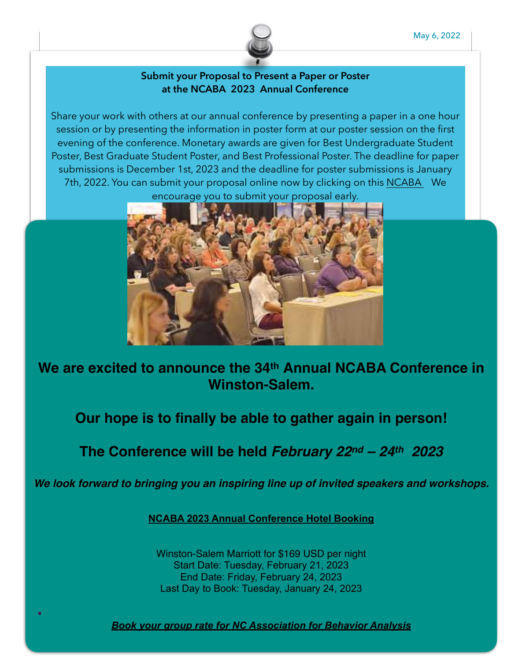

### **Submit your Proposal to Present a Paper or Poster at the NCABA 2023 Annual Conference**

Share your work with others at our annual conference by presenting a paper in a one hour session or by presenting the information in poster form at our poster session on the first evening of the conference. Monetary awards are given for Best Undergraduate Student Poster, Best Graduate Student Poster, and Best Professional Poster. The deadline for paper submissions is December 1st, 2023 and the deadline for poster submissions is January 7th, 2022. You can submit your proposal online now by clicking on this [NCABA](https://www.nc-aba.com/proposals/) We encourage you to submit your proposal early.



**We are excited to announce the 34th Annual NCABA Conference in Winston-Salem.**

**Our hope is to finally be able to gather again in person!**

## **The Conference will be held** *February 22nd – 24th 2023*

*We look forward to bringing you an inspiring line up of invited speakers and workshops.*

**[NCABA 2023 Annual Conference Hotel Booking](https://www.marriott.com/events/start.mi?id=1653570310215&key=GRP)**

Winston-Salem Marriott for \$169 USD per night Start Date: Tuesday, February 21, 2023 End Date: Friday, February 24, 2023 Last Day to Book: Tuesday, January 24, 2023

*[Book your group rate for NC Association for Behavior Analysis](https://www.marriott.com/events/start.mi?id=1653570310215&key=GRP)*

**•**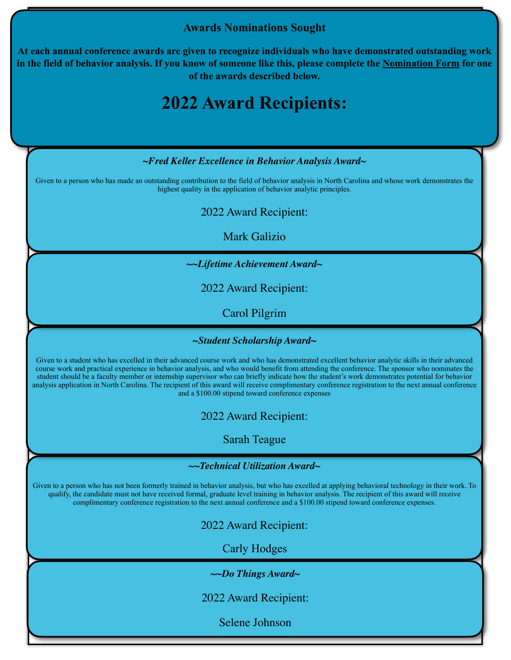### **Awards Nominations Sought**

**At each annual conference awards are given to recognize individuals who have demonstrated outstanding work in the field of behavior analysis. If you know of someone like this, please complete the [Nomination Form](https://www.nc-aba.com/award-nomination/) for one of the awards described below.** 

# **2022 Award Recipients:**

*~Fred Keller Excellence in Behavior Analysis Award~* 

Given to a person who has made an outstanding contribution to the field of behavior analysis in North Carolina and whose work demonstrates the highest quality in the application of behavior analytic principles.

2022 Award Recipient:

Mark Galizio

*~~Lifetime Achievement Award~* 

2022 Award Recipient:

Carol Pilgrim

*~Student Scholarship Award~* 

Given to a student who has excelled in their advanced course work and who has demonstrated excellent behavior analytic skills in their advanced course work and practical experience in behavior analysis, and who would benefit from attending the conference. The sponsor who nominates the student should be a faculty member or internship supervisor who can briefly indicate how the student's work demonstrates potential for behavior analysis application in North Carolina. The recipient of this award will receive complimentary conference registration to the next annual conference and a \$100.00 stipend toward conference expenses

2022 Award Recipient:

Sarah Teague

### *~~Technical Utilization Award~*

Given to a person who has not been formerly trained in behavior analysis, but who has excelled at applying behavioral technology in their work. To qualify, the candidate must not have received formal, graduate level training in behavior analysis. The recipient of this award will receive complimentary conference registration to the next annual conference and a \$100.00 stipend toward conference expenses.

2022 Award Recipient:

Carly Hodges

*~~Do Things Award~* 

2022 Award Recipient:

Selene Johnson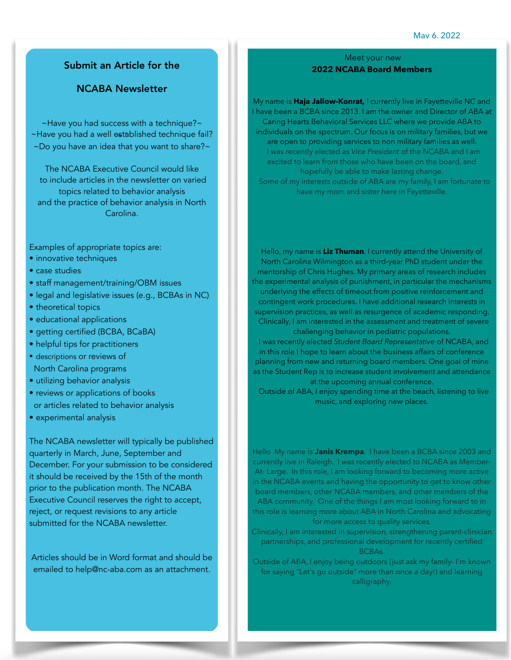May 6, 2022

### Submit an Article for the

### NCABA Newsletter

~Have you had success with a technique?~ ~Have you had a well established technique fail? ~Do you have an idea that you want to share?~

The NCABA Executive Council would like to include articles in the newsletter on varied topics related to behavior analysis and the practice of behavior analysis in North Carolina.

Examples of appropriate topics are:

- innovative techniques
- case studies
- staff management/training/OBM issues
- legal and legislative issues (e.g., BCBAs in NC)
- theoretical topics
- educational applications
- getting certified (BCBA, BCaBA)
- helpful tips for practitioners
- descriptions or reviews of North Carolina programs
- utilizing behavior analysis
- reviews or applications of books or articles related to behavior analysis
- experimental analysis

The NCABA newsletter will typically be published quarterly in March, June, September and December. For your submission to be considered it should be received by the 15th of the month prior to the publication month. The NCABA Executive Council reserves the right to accept, reject, or request revisions to any article submitted for the NCABA newsletter.

Articles should be in Word format and should be emailed to help@nc-aba.com as an attachment.

### Meet your new **2022 NCABA Board Members**

My name is **Haja Jallow-Konrat,** I currently live in Fayetteville NC and I have been a BCBA since 2013. I am the owner and Director of ABA at Caring Hearts Behavioral Services LLC where we provide ABA to individuals on the spectrum. Our focus is on military families, but we are open to providing services to non military families as well. I was recently elected as *Vice President* of the NCABA and I am excited to learn from those who have been on the board, and hopefully be able to make lasting change. Some of my interests outside of ABA are my family, I am fortunate to

have my mom and sister here in Fayetteville.

Hello, my name is **Liz Thuman**. I currently attend the University of North Carolina Wilmington as a third-year PhD student under the mentorship of Chris Hughes. My primary areas of research includes the experimental analysis of punishment, in particular the mechanisms underlying the effects of timeout from positive reinforcement and contingent work procedures. I have additional research interests in supervision practices, as well as resurgence of academic responding. Clinically, I am interested in the assessment and treatment of severe challenging behavior in pediatric populations.

 I was recently elected *Student Board Representative* of NCABA, and in this role I hope to learn about the business affairs of conference planning from new and returning board members. One goal of mine as the Student Rep is to increase student involvement and attendance at the upcoming annual conference.

 Outside of ABA, I enjoy spending time at the beach, listening to live music, and exploring new places.

Hello My name is **Janis Krempa**. I have been a BCBA since 2003 and currently live in Raleigh. I was recently elected to NCABA as Member-At- Large. In this role, I am looking forward to becoming more active in the NCABA events and having the opportunity to get to know other board members, other NCABA members, and other members of the ABA community. One of the things I am most looking forward to in this role is learning more about ABA in North Carolina and advocating for more access to quality services.

Clinically, I am interested in supervision, strengthening parent-clinician partnerships, and professional development for recently certified BCBAs.

Outside of ABA, I enjoy being outdoors (just ask my family- I'm known for saying "Let's go outside" more than once a day!) and learning calligraphy.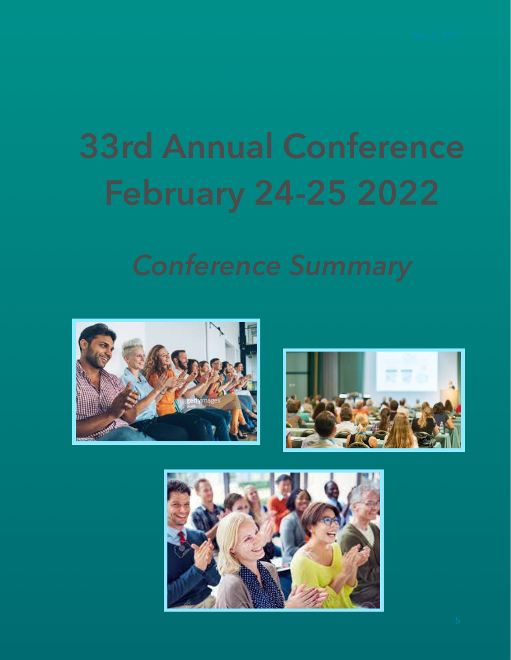# **33rd Annual Conference**





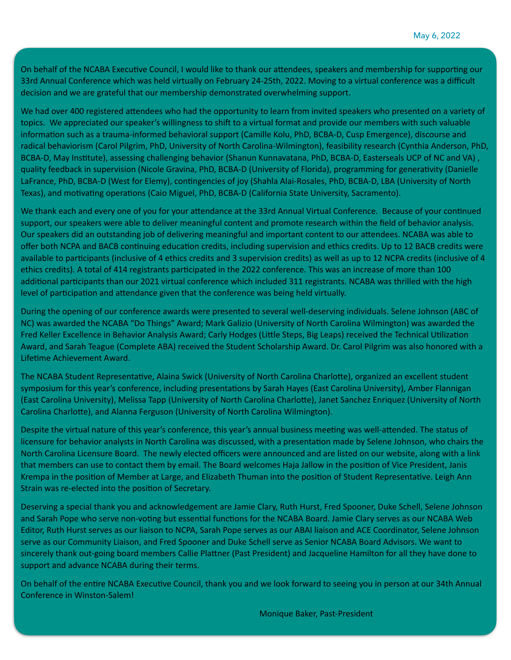On behalf of the NCABA Executive Council, I would like to thank our attendees, speakers and membership for supporting our 33rd Annual Conference which was held virtually on February 24-25th, 2022. Moving to a virtual conference was a difficult decision and we are grateful that our membership demonstrated overwhelming support.

We had over 400 registered attendees who had the opportunity to learn from invited speakers who presented on a variety of topics. We appreciated our speaker's willingness to shift to a virtual format and provide our members with such valuable information such as a trauma-informed behavioral support (Camille Kolu, PhD, BCBA-D, Cusp Emergence), discourse and radical behaviorism (Carol Pilgrim, PhD, University of North Carolina-Wilmington), feasibility research (Cynthia Anderson, PhD, BCBA-D, May Institute), assessing challenging behavior (Shanun Kunnavatana, PhD, BCBA-D, Easterseals UCP of NC and VA), quality feedback in supervision (Nicole Gravina, PhD, BCBA-D (University of Florida), programming for generativity (Danielle LaFrance, PhD, BCBA-D (West for Elemy), contingencies of joy (Shahla Alai-Rosales, PhD, BCBA-D, LBA (University of North Texas), and motivating operations (Caio Miguel, PhD, BCBA-D (California State University, Sacramento).

We thank each and every one of you for your attendance at the 33rd Annual Virtual Conference. Because of your continued support, our speakers were able to deliver meaningful content and promote research within the field of behavior analysis. Our speakers did an outstanding job of delivering meaningful and important content to our attendees. NCABA was able to offer both NCPA and BACB continuing education credits, including supervision and ethics credits. Up to 12 BACB credits were available to participants (inclusive of 4 ethics credits and 3 supervision credits) as well as up to 12 NCPA credits (inclusive of 4 ethics credits). A total of 414 registrants participated in the 2022 conference. This was an increase of more than 100 additional participants than our 2021 virtual conference which included 311 registrants. NCABA was thrilled with the high level of participation and attendance given that the conference was being held virtually.

During the opening of our conference awards were presented to several well-deserving individuals. Selene Johnson (ABC of NC) was awarded the NCABA "Do Things" Award; Mark Galizio (University of North Carolina Wilmington) was awarded the Fred Keller Excellence in Behavior Analysis Award; Carly Hodges (Little Steps, Big Leaps) received the Technical Utilization Award, and Sarah Teague (Complete ABA) received the Student Scholarship Award. Dr. Carol Pilgrim was also honored with a Lifetime Achievement Award.

The NCABA Student Representative, Alaina Swick (University of North Carolina Charlotte), organized an excellent student symposium for this year's conference, including presentations by Sarah Hayes (East Carolina University), Amber Flannigan (East Carolina University), Melissa Tapp (University of North Carolina Charlotte), Janet Sanchez Enriquez (University of North Carolina Charlotte), and Alanna Ferguson (University of North Carolina Wilmington).

Despite the virtual nature of this year's conference, this year's annual business meeting was well-attended. The status of licensure for behavior analysts in North Carolina was discussed, with a presentation made by Selene Johnson, who chairs the North Carolina Licensure Board. The newly elected officers were announced and are listed on our website, along with a link that members can use to contact them by email. The Board welcomes Haja Jallow in the position of Vice President, Janis Krempa in the position of Member at Large, and Elizabeth Thuman into the position of Student Representative. Leigh Ann Strain was re-elected into the position of Secretary.

Deserving a special thank you and acknowledgement are Jamie Clary, Ruth Hurst, Fred Spooner, Duke Schell, Selene Johnson and Sarah Pope who serve non-voting but essential functions for the NCABA Board. Jamie Clary serves as our NCABA Web Editor, Ruth Hurst serves as our liaison to NCPA, Sarah Pope serves as our ABAI liaison and ACE Coordinator, Selene Johnson serve as our Community Liaison, and Fred Spooner and Duke Schell serve as Senior NCABA Board Advisors. We want to sincerely thank out-going board members Callie Plattner (Past President) and Jacqueline Hamilton for all they have done to support and advance NCABA during their terms.

On behalf of the entire NCABA Executive Council, thank you and we look forward to seeing you in person at our 34th Annual Conference in Winston-Salem!

Monique Baker, Past-President